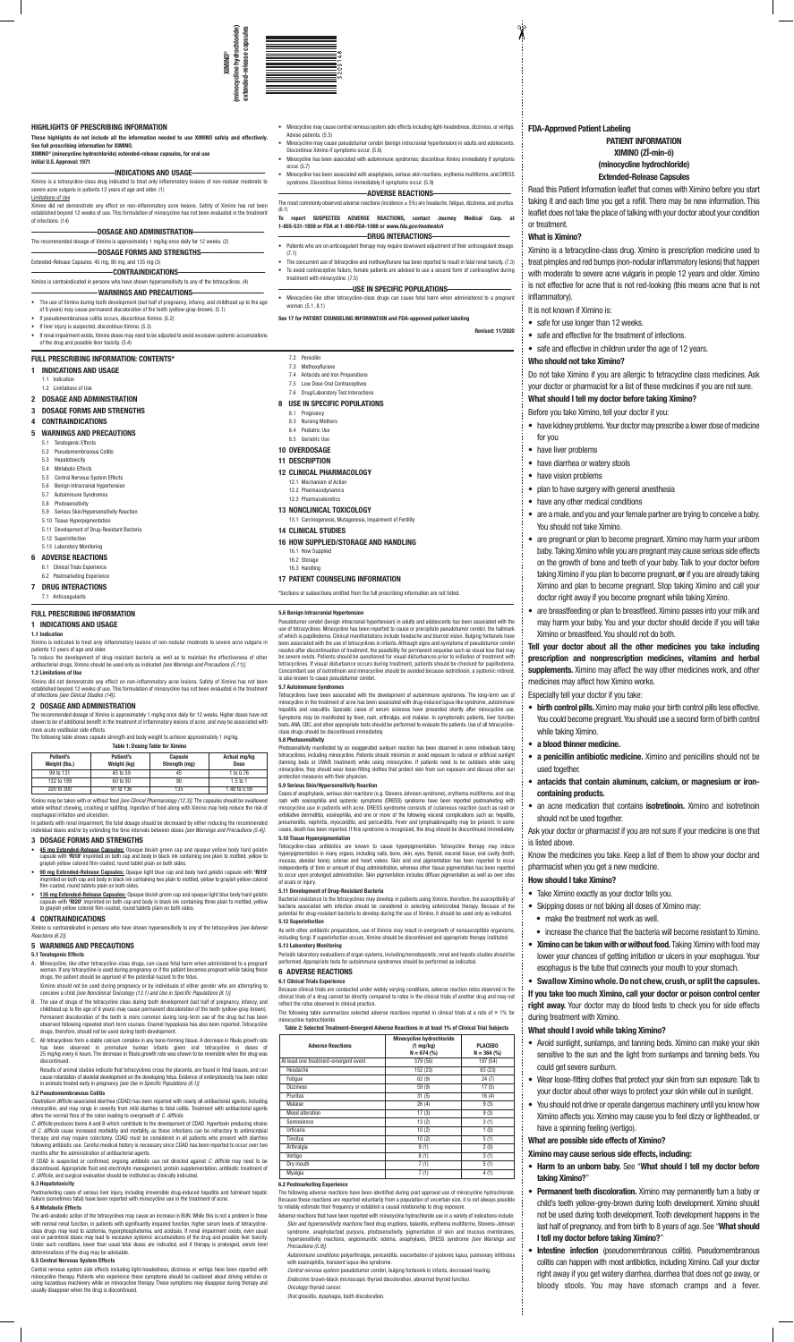#### **HIGHLIGHTS OF PRESCRIBING INFORMATION**

**These highlights do not include all the information needed to use XIMINO safely and effectively. See full prescribing information for XIMINO.**

**XIMINO**® **(minocycline hydrochloride) extended-release capsules, for oral use**

## **Initial U.S. Approval: 1971**

### **————————————INDICATIONS AND USAGE———————————**

Ximino is a tetracycline-class drug indicated to treat only inflammatory lesions of non-nodular moderate to severe acne vulgaris in patients 12 years of age and older. (1)

#### Limitations of Use

Ximino is contraindicated in persons who have shown hypersensitivity to any of the tetracyclines. (4)  $-$  WARNINGS AND PRECAUTIONS-

Ximino did not demonstrate any effect on non-inflammatory acne lesions. Safety of Ximino has not been established beyond 12 weeks of use. This formulation of minocycline has not been evaluated in the treatment of infections. (14)

## **—————————DOSAGE AND ADMINISTRATION——————————**

The recommended dosage of Ximino is approximately 1 mg/kg once daily for 12 weeks. (2) **—————————DOSAGE FORMS AND STRENGTHS—————————**

# Extended-Release Capsules: 45 mg, 90 mg, and 135 mg (3)

# **———————————CONTRAINDICATIONS————————————**

- The use of Ximino during tooth development (last half of pregnancy, infancy, and childhood up to the age of 8 years) may cause permanent discoloration of the teeth (yellow-gray-brown). (5.1)
- If pseudomembranous colitis occurs, discontinue Ximino. (5.2)
- If liver injury is suspected, discontinue Ximino. (5.3)
- If renal impairment exists, Ximino doses may need to be adjusted to avoid excessive systemic accumulations of the drug and possible liver toxicity. (5.4)

# **FULL PRESCRIBING INFORMATION: CONTENTS\***

## **1 INDICATIONS AND USAGE**

**Table 1: Dosing Table for Ximino Patient's Weight (lbs.) Patient's Weight (kg) Capsule Strength (mg) Actual mg/kg Dose** 99 to 131 45 to 59 45 1 to 0.76 132 to 199 | 60 to 90 | 90 | 1.5 to 1 200 to 300 1 91 to 136 1 35 1.48 to 0.99

- 1.1 Indication
- 1.2 Limitations of Use
- **2 DOSAGE AND ADMINISTRATION**

## **3 DOSAGE FORMS AND STRENGTHS**

## **4 CONTRAINDICATIONS**

## **5 WARNINGS AND PRECAUTIONS**

- 5.1 Teratogenic Effects
- 5.2 Pseudomembranous Colitis
- 5.3 Hepatotoxicity
- 5.4 Metabolic Effects
- 5.5 Central Nervous System Effects
- 5.6 Benign Intracranial Hypertension
- 5.7 Autoimmune Syndromes
- 5.8 Photosensitivity
- 5.9 Serious Skin/Hypersensitivity Reaction
- 5.10 Tissue Hyperpigmentation
- 5.11 Development of Drug-Resistant Bacteria
- 5.12 Superinfection 5.13 Laboratory Monitoring

## **6 ADVERSE REACTIONS**

- 6.1 Clinical Trials Experience
- 6.2 Postmarketing Experience
- **7 DRUG INTERACTIONS**
- 7.1 Anticoagulants

## **FULL PRESCRIBING INFORMATION**

## **1 INDICATIONS AND USAGE**

#### **1.1 Indication**

Ximino is indicated to treat only inflammatory lesions of non-nodular moderate to severe acne vulgaris in patients 12 years of age and older.

To reduce the development of drug-resistant bacteria as well as to maintain the effectiveness of other antibacterial drugs, Ximino should be used only as indicated *[see Warnings and Precautions (5.11)]*. **1.2 Limitations of Use**

Ximino did not demonstrate any effect on non-inflammatory acne lesions. Safety of Ximino has not been established beyond 12 weeks of use. This formulation of minocycline has not been evaluated in the treatment of infections *[see Clinical Studies (14)]*.

## **2 DOSAGE AND ADMINISTRATION**

The recommended dosage of Ximino is approximately 1 mg/kg once daily for 12 weeks. Higher doses have not shown to be of additional benefit in the treatment of inflammatory lesions of acne, and may be associated with more acute vestibular side effects.

The following table shows capsule strength and body weight to achieve approximately 1 mg/kg.

In patients with renal impairment, the total dosage should be decreased by either reducing the recom individual doses and/or by extending the time intervals between doses *[see Warnings and Precautions (5.4)]*.

- Minocycline may cause central nervous system side effects including light-headedness, dizziness, or vertigo. Advise patients. (5.5)
- Minocycline may cause pseudotumor cerebri (benign intracranial hypertension) in adults and adolescents. Discontinue Ximino if symptoms occur. (5.6)
- Minocycline has been associated with autoimmune syndromes; discontinue Ximino immediately if symptoms occur. (5.7)
- Minocycline has been associated with anaphylaxis, serious skin reactions, erythema multiforme, and DRESS syndrome. Discontinue Ximino immediately if symptoms occur. (5.9)

## **-ADVERSE REACTIONS-**

A. Minocycline, like other tetracycline-class drugs, can cause fetal harm when administered to a pregnan woman. If any tetracycline is used during pregnancy or if the patient becomes pregnant while taking these drugs, the patient should be apprised of the potential hazard to the fetus.

Ximino should not be used during pregnancy or by individuals of either gender who are attempting to<br>conceive a child *[see Nonclinical Toxicology (13.1) and Use in Specific Populations (8.1)].* 

The most commonly observed adverse reactions (incidence ≥ 5%) are headache, fatigue, dizziness, and pruritus. (6.1)

## **To report SUSPECTED ADVERSE REACTIONS, contact Journey Medical Corp. at 1-855-531-1859 or FDA at 1-800-FDA-1088 or** *www.fda.gov/medwatch*

**————————————DRUG INTERACTIONS———————————**

• Patients who are on anticoagulant therapy may require downward adjustment of their anticoagulant dosage. (7.1)

Results of animal studies indicate that tetracyclines cross the placenta, are found in fetal tissues, and can cause retardation of skeletal development on the developing fetus. Evidence of embryotoxicity has been noted<br>in animals treated early in pregnancy *[see Use in Specific Populations (8.1)]*.

- The concurrent use of tetracycline and methoxyflurane has been reported to result in fatal renal toxicity. (7.3) • To avoid contraceptive failure, female patients are advised to use a second form of contraceptive during treatment with minocycline. (7.5)
- **——————————USE IN SPECIFIC POPULATIONS—————————**
- Minocycline like other tetracycline-class drugs can cause fetal harm when administered to a pregnant woman. (5.1, 8.1)

*C. difficile* produces toxins A and B which contribute to the development of CDAD. Hypertoxin producing strains of *C. difficile* cause increased morbidity and mortality, as these infections can be refractory to antimicrobial therapy and may require colectomy. CDAD must be considered in all patients who present with diarrhea following antibiotic use. Careful medical history is necessary since CDAD has been reported to occur over two months after the administration of antibacterial agents.

#### **See 17 for PATIENT COUNSELING INFORMATION and FDA-approved patient labeling**

**Revised: 11/2020**

7.2 Penicillin 7.3 Methoxyflurane 7.4 Antacids and Iron Preparations 7.5 Low Dose Oral Contraceptives 7.6 Drug/Laboratory Test Interaction **8 USE IN SPECIFIC POPULATIONS**

8.1 Pregnancy 8.3 Nursing Mothers 8.4 Pediatric Use 8.5 Geriatric Use **10 OVERDOSAGE 11 DESCRIPTION**

Postmarketing cases of serious liver injury, including irreversible drug-induced hepatitis and fulminant hepatic failure (sometimes fatal) have been reported with minocycline use in the treatment of acne

**12 CLINICAL PHARMACOLOGY** 12.1 Mechanism of Action 12.2 Pharmacodynamics 12.3 Pharmacokinetics **13 NONCLINICAL TOXICOLOGY**

13.1 Carcinogenesis, Mutagenesis, Impairment of Fertility

**14 CLINICAL STUDIES**

**16 HOW SUPPLIED/STORAGE AND HANDLING**

16.1 How Supplied 16.2 Storage 16.3 Handling

**17 PATIENT COUNSELING INFORMATION**

\*Sections or subsections omitted from the full prescribing information are not listed.

Central nervous system side effects including light-headedness, dizziness or vertigo have been reported with<br>minocycline therapy. Patients who experience these symptoms should be cautioned about driving vehicles or<br>using h usually disappear when the drug is discontinued.

| <b>Adverse Reactions</b>              | <b>Minocycline hydrochloride</b><br>$(1 \text{ mg/kg})$<br>$N = 674$ (%) | <b>PLACEBO</b><br>$N = 364$ (%) |
|---------------------------------------|--------------------------------------------------------------------------|---------------------------------|
| At least one treatment-emergent event | 379 (56)                                                                 | 197 (54)                        |
| Headache                              | 152 (23)                                                                 | 83 (23)                         |
| Fatigue                               | 62(9)                                                                    | 24(7)                           |
| <b>Dizziness</b>                      | 59 (9)                                                                   | 17(5)                           |
| Pruritus                              | 31(5)                                                                    | 16(4)                           |
| Malaise                               | 26(4)                                                                    | 9(3)                            |
| Mood alteration                       | 17(3)                                                                    | 9(3)                            |
| Somnolence                            | 13(2)                                                                    | 3(1)                            |
| Urticaria                             | 10(2)                                                                    | 1(0)                            |
| Tinnitus                              | 10(2)                                                                    | 5(1)                            |
| Arthralgia                            | 9(1)                                                                     | 2(0)                            |
| Vertigo                               | 8(1)                                                                     | 3(1)                            |
| Dry mouth                             | 7(1)                                                                     | 5(1)                            |
| Myalgia                               | 7(1)                                                                     | 4(1)                            |

Ximino may be taken with or without food *[see Clinical Pharmacology (12.3)].* The capsules should be swallowed whole without chewing, crushing or splitting. Ingestion of food along with Ximino may help reduce the risk of esophageal irritation and ulceration.

## **3 DOSAGE FORMS AND STRENGTHS**

Photosensitivity manifested by an exaggerated sunburn reaction has been observed in some individuals taking tetracyclines, including minocycline. Patients should minimize or avoid exposure to natural or artificial sunlight (tanning beds or UVA/B treatment) while using minocycline. If patients need to be outdoors while using minocycline, they should wear loose-fitting clothes that protect skin from sun exposure and discuss other sun

Tetracycline-class antibiotics are known to cause hyperpigmentation. Tetracycline therapy may induce hyperpigmentation in many organs, including nails, bone, skin, eyes, thyroid, visceral tissue, oral cavity (teeth,<br>mucosa, alveolar bone), sclerae and heart valves. Skin and oral pigmentation has been reported to occur<br>ind

imprinted on both cap and body in black ink containing two plain to mottled, yellow to grayish yellow colored film-coated, round tablets plain on both sides.

**• 135 mg Extended-Release Capsules:** Opaque bluish green cap and opaque light blue body hard gelatin capsule with **'RI20'** imprinted on both cap and body in black ink containing three plain to mottled, yellow to grayish yellow colored film-coated, round tablets plain on both sides.

## **4 CONTRAINDICATIONS**

Ximino is contraindicated in persons who have shown hypersensitivity to any of the tetracyclines *[see Adverse Reactions (6.2)]*.

## **5 WARNINGS AND PRECAUTIONS**

## **5.1 Teratogenic Effects**

As with other antibiotic preparations, use of Ximino may result in overgrowth of nonsusceptible organisms including fungi. If superinfection occurs, Ximino should be discontinued and appropriate therapy instituted.

B. The use of drugs of the tetracycline class during tooth development (last half of pregnancy, infancy, and childhood up to the age of 8 years) may cause permanent discoloration of the teeth (yellow-gray-brown).

> *Autoimmune conditions:* polyarthralgia, pericarditis, exacerbation of systemic lupus, pulmonary infiltrates with eosinophilia, transient lupus-like syndrome.

Permanent discoloration of the teeth is more common during long-term use of the drug but has been observed following repeated short-term courses. Enamel hypoplasia has also been reported. Tetracycline drugs, therefore, should not be used during tooth development.

C. All tetracyclines form a stable calcium complex in any bone-forming tissue. A decrease in fibula growth rate has been observed in premature human infants given oral tetracycline in doses of 25 mg/kg every 6 hours. The decrease in fibula growth rate was shown to be reversible when the drug was discontinued.

### **5.2 Pseudomembranous Colitis**

*Clostridium difficile* associated diarrhea (CDAD) has been reported with nearly all antibacterial agents, including minocycline, and may range in severity from mild diarrhea to fatal colitis. Treatment with antibacterial agents alters the normal flora of the colon leading to overgrowth of *C. difficile.*

If CDAD is suspected or confirmed, ongoing antibiotic use not directed against *C. difficile* may need to be discontinued. Appropriate fluid and electrolyte management, protein supplementation, antibiotic treatment of *C. difficile*, and surgical evaluation should be instituted as clinically indicated.

## **5.3 Hepatotoxicity**

### **5.4 Metabolic Effects**

- **• 45 mg Extended-Release Capsules:** Opaque bluish green cap and opaque yellow body hard gelatin capsule with **'RI18'** imprinted on both cap and body in black ink containing one plain to mottled, yellow to grayish yellow colored film-coated, round tablet plain on both sides.
- **• 90 mg Extended-Release Capsules:** Opaque light blue cap and body hard gelatin capsule with **'RI19'**  to occur upon prolonged administration. Skin pigmentation includes diffuse pigmentation as well as over sites

The anti-anabolic action of the tetracyclines may cause an increase in BUN. While this is not a problem in those with normal renal function, in patients with significantly impaired function, higher serum levels of tetracyclineclass drugs may lead to azotemia, hyperphosphatemia, and acidosis. If renal impairment exists, even usual oral or parenteral doses may lead to excessive systemic accumulations of the drug and possible liver toxicity. Under such conditions, lower than usual total doses are indicated, and if therapy is prolonged, serum level determinations of the drug may be advisable.

### **5.5 Central Nervous System Effects**

**5.6 Benign Intracranial Hypertension**

Pseudotumor cerebri (benign intracranial hypertension) in adults and adolescents has been associated with the use of tetracyclines. Minocycline has been reported to cause or precipitate pseudotumor cerebri, the hallmark of which is papilledema. Clinical manifestations include headache and blurred vision. Bulging fontanels have been associated with the use of tetracyclines in infants. Although signs and symptoms of pseudotumor cerebri resolve after discontinuation of treatment, the possibility for permanent sequelae such as visual loss that may be severe exists. Patients should be questioned for visual disturbances prior to initiation of treatment with tetracyclines. If visual disturbance occurs during treatment, patients should be checked for papilledema. Concomitant use of isotretinoin and minocycline should be avoided because isotretinoin, a systemic retinoid,

is also known to cause pseudotumor cerebri. **5.7 Autoimmune Syndromes**

Tetracyclines have been associated with the development of autoimmune syndromes. The long-term use of minocycline in the treatment of acne has been associated with drug-induced lupus-like syndrome, auto hepatitis and vasculitis. Sporadic cases of serum sickness have presented shortly after minocycline use Symptoms may be manifested by fever, rash, arthralgia, and malaise. In symptomatic patients, liver function tests, ANA, CBC, and other appropriate tests should be performed to evaluate the patients. Use of all tetracycline-

class drugs should be discontinued immediately.

**5.8 Photosensitivity**

protection measures with their physician. **5.9 Serious Skin/Hypersensitivity Reaction**

Cases of anaphylaxis, serious skin reactions (e.g. Stevens Johnson syndrome), erythema multiforme, and drug rash with eosinophilia and systemic symptoms (DRESS) syndrome have been reported postmarketing with minocycline use in patients with acne. DRESS syndrome consists of cutaneous reaction (such as rash or exfoliative dermatitis), eosinophilia, and one or more of the following visceral complications such as: hepatitis pneumonitis, nephritis, myocarditis, and pericarditis. Fever and lymphadenopathy may be present. In some cases, death has been reported. If this syndrome is recognized, the drug should be discontinued immediately.

**5.10 Tissue Hyperpigmentation**

of scars or injury.

## **5.11 Development of Drug-Resistant Bacteria**

Bacterial resistance to the tetracyclines may develop in patients using Ximino, therefore, the susceptibility of bacteria associated with infection should be considered in selecting antimicrobial therapy. Because of the potential for drug-resistant bacteria to develop during the use of Ximino, it should be used only as indicated.

### **5.12 Superinfection**

## **5.13 Laboratory Monitoring**

Periodic laboratory evaluations of organ systems, including hematopoietic, renal and hepatic studies should be performed. Appropriate tests for autoimmune syndromes should be performed as indicated.

## **6 ADVERSE REACTIONS**

## **6.1 Clinical Trials Experience**

Because clinical trials are conducted under widely varying conditions, adverse reaction rates observed in the clinical trials of a drug cannot be directly compared to rates in the clinical trials of another drug and may not reflect the rates observed in clinical practice.

The following table summarizes selected adverse reactions reported in clinical trials at a rate of ≥ 1% for minocycline hydrochloride.

## **Table 2: Selected Treatment-Emergent Adverse Reactions in at least 1% of Clinical Trial Subjects**

### **6.2 Postmarketing Experience**

The following adverse reactions have been identified during post approval use of minocycline hydrochloride. Because these reactions are reported voluntarily from a population of uncertain size, it is not always possible to reliably estimate their frequency or establish a causal relationship to drug exposure.

Adverse reactions that have been reported with minocycline hydrochloride use in a variety of indications include: *Skin and hypersensitivity reactions:* fixed drug eruptions, balanitis, erythema multiforme, Stevens-Johnson syndrome, anaphylactoid purpura, photosensitivity, pigmentation of skin and mucous membranes hypersensitivity reactions, angioneurotic edema, anaphylaxis, DRESS syndrome *[see Warnings and Precautions (5.9)].*

*Central nervous system:* pseudotumor cerebri, bulging fontanels in infants, decreased hearing. *Endocrine:* brown-black microscopic thyroid discoloration, abnormal thyroid function.

*Oncology:* thyroid cancer.

*Oral:* glossitis, dysphagia, tooth discoloration.



**FDA-Approved Patient Labeling**

**PATIENT INFORMATION XIMINO (ZĪ-min-ō) (minocycline hydrochloride) Extended-Release Capsules** Read this Patient Information leaflet that comes with Ximino before you start taking it and each time you get a refill. There may be new information. This leaflet does not take the place of talking with your doctor about your condition

or treatment. **What is Ximino?**

Ximino is a tetracycline-class drug. Ximino is prescription medicine used to treat pimples and red bumps (non-nodular inflammatory lesions) that happen with moderate to severe acne vulgaris in people 12 years and older. Ximino is not effective for acne that is not red-looking (this means acne that is not

inflammatory).

It is not known if Ximino is:

• safe for use longer than 12 weeks.

• safe and effective for the treatment of infections.

- 
- safe and effective in children under the age of 12 years.

## **Who should not take Ximino?**

Do not take Ximino if you are allergic to tetracycline class medicines. Ask your doctor or pharmacist for a list of these medicines if you are not sure.

## **What should I tell my doctor before taking Ximino?**

Before you take Ximino, tell your doctor if you:

- have kidney problems. Your doctor may prescribe a lower dose of medicine for you
- have liver problems
- have diarrhea or watery stools
- have vision problems
- plan to have surgery with general anesthesia
- have any other medical conditions
- are a male, and you and your female partner are trying to conceive a baby. You should not take Ximino.
- are pregnant or plan to become pregnant. Ximino may harm your unborn baby. Taking Ximino while you are pregnant may cause serious side effects on the growth of bone and teeth of your baby. Talk to your doctor before taking Ximino if you plan to become pregnant, **or** if you are already taking Ximino and plan to become pregnant. Stop taking Ximino and call your doctor right away if you become pregnant while taking Ximino.
- are breastfeeding or plan to breastfeed. Ximino passes into your milk and may harm your baby. You and your doctor should decide if you will take Ximino or breastfeed. You should not do both.

**Tell your doctor about all the other medicines you take including prescription and nonprescription medicines, vitamins and herbal supplements.** Ximino may affect the way other medicines work, and other medicines may affect how Ximino works.

- Especially tell your doctor if you take:
- **• birth control pills.** Ximino may make your birth control pills less effective. You could become pregnant. You should use a second form of birth control while taking Ximino.
- **• a blood thinner medicine.**
- **• a penicillin antibiotic medicine.** Ximino and penicillins should not be used together.
- **• antacids that contain aluminum, calcium, or magnesium or ironcontaining products.**
- an acne medication that contains **isotretinoin.** Ximino and isotretinoin should not be used together.

Ask your doctor or pharmacist if you are not sure if your medicine is one that is listed above.

- Know the medicines you take. Keep a list of them to show your doctor and pharmacist when you get a new medicine.
- 

## **How should I take Ximino?**

- Take Ximino exactly as your doctor tells you.
- Skipping doses or not taking all doses of Ximino may:
- make the treatment not work as well.
- increase the chance that the bacteria will become resistant to Ximino.
- **• Ximino can be taken with or without food.** Taking Ximino with food may lower your chances of getting irritation or ulcers in your esophagus. Your esophagus is the tube that connects your mouth to your stomach.

# **• Swallow Ximino whole. Do not chew, crush, or split the capsules. If you take too much Ximino, call your doctor or poison control center right away.** Your doctor may do blood tests to check you for side effects during treatment with Ximino.

# **What should I avoid while taking Ximino?**

- Avoid sunlight, sunlamps, and tanning beds. Ximino can make your skin sensitive to the sun and the light from sunlamps and tanning beds. You could get severe sunburn.
- Wear loose-fitting clothes that protect your skin from sun exposure. Talk to your doctor about other ways to protect your skin while out in sunlight.
- You should not drive or operate dangerous machinery until you know how Ximino affects you. Ximino may cause you to feel dizzy or lightheaded, or have a spinning feeling (vertigo).

# **What are possible side effects of Ximino?**

# **Ximino may cause serious side effects, including:**

- **• Harm to an unborn baby.** See "**What should I tell my doctor before taking Ximino?**"
- **• Permanent teeth discoloration.** Ximino may permanently turn a baby or child's teeth yellow-grey-brown during tooth development. Ximino should not be used during tooth development. Tooth development happens in the last half of pregnancy, and from birth to 8 years of age. See "**What should I tell my doctor before taking Ximino?**"
- **Intestine infection** (pseudomembranous colitis). Pseudomembranous colitis can happen with most antibiotics, including Ximino. Call your doctor right away if you get watery diarrhea, diarrhea that does not go away, or bloody stools. You may have stomach cramps and a fever.